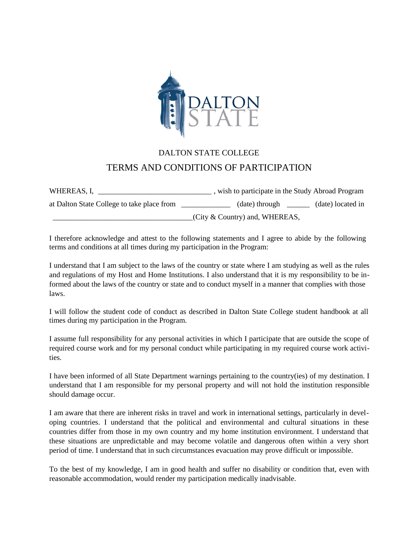

## DALTON STATE COLLEGE TERMS AND CONDITIONS OF PARTICIPATION

WHEREAS, I, \_\_\_\_\_\_\_\_\_\_\_\_\_\_\_\_\_\_\_\_\_\_\_\_\_\_\_\_\_\_ , wish to participate in the Study Abroad Program at Dalton State College to take place from  $(date)$  through  $(date)$  located in \_\_\_\_\_\_\_\_\_\_\_\_\_\_\_\_\_\_\_\_\_\_\_\_\_\_\_\_\_\_\_\_\_\_\_\_\_(City & Country) and, WHEREAS,

I therefore acknowledge and attest to the following statements and I agree to abide by the following terms and conditions at all times during my participation in the Program:

I understand that I am subject to the laws of the country or state where I am studying as well as the rules and regulations of my Host and Home Institutions. I also understand that it is my responsibility to be informed about the laws of the country or state and to conduct myself in a manner that complies with those laws.

I will follow the student code of conduct as described in Dalton State College student handbook at all times during my participation in the Program.

I assume full responsibility for any personal activities in which I participate that are outside the scope of required course work and for my personal conduct while participating in my required course work activities.

I have been informed of all State Department warnings pertaining to the country(ies) of my destination. I understand that I am responsible for my personal property and will not hold the institution responsible should damage occur.

I am aware that there are inherent risks in travel and work in international settings, particularly in developing countries. I understand that the political and environmental and cultural situations in these countries differ from those in my own country and my home institution environment. I understand that these situations are unpredictable and may become volatile and dangerous often within a very short period of time. I understand that in such circumstances evacuation may prove difficult or impossible.

To the best of my knowledge, I am in good health and suffer no disability or condition that, even with reasonable accommodation, would render my participation medically inadvisable.